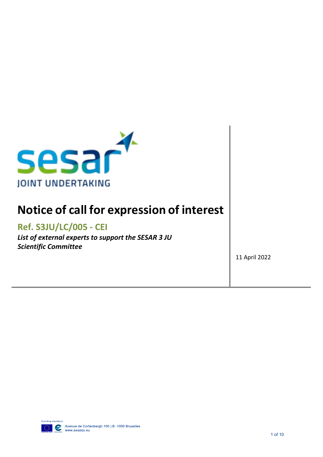

# **Notice of call for expression of interest**

# **Ref. S3JU/LC/005 - CEI**

*List of external experts to support the SESAR 3 JU Scientific Committee*

11 April 2022

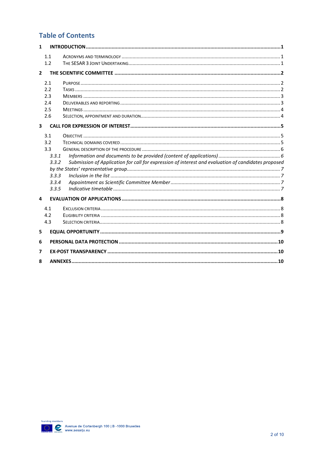## **Table of Contents**

| $\mathbf{1}$            |                                                                |                                                                                                     |  |  |  |  |
|-------------------------|----------------------------------------------------------------|-----------------------------------------------------------------------------------------------------|--|--|--|--|
|                         | 1.1<br>1.2                                                     |                                                                                                     |  |  |  |  |
| $\overline{2}$          |                                                                |                                                                                                     |  |  |  |  |
|                         | 2.1<br>2.2<br>2.3<br>2.4<br>2.5<br>2.6                         |                                                                                                     |  |  |  |  |
| $\overline{\mathbf{3}}$ |                                                                |                                                                                                     |  |  |  |  |
|                         | 3.1<br>3.2<br>3.3<br>3.3.1<br>3.3.2<br>3.3.3<br>3.3.4<br>3.3.5 | Submission of Application for call for expression of interest and evaluation of candidates proposed |  |  |  |  |
| 4                       |                                                                |                                                                                                     |  |  |  |  |
|                         | 4.1<br>4.2<br>4.3                                              |                                                                                                     |  |  |  |  |
| 5                       |                                                                |                                                                                                     |  |  |  |  |
| 6                       |                                                                |                                                                                                     |  |  |  |  |
| 7                       |                                                                |                                                                                                     |  |  |  |  |
| 8                       |                                                                |                                                                                                     |  |  |  |  |

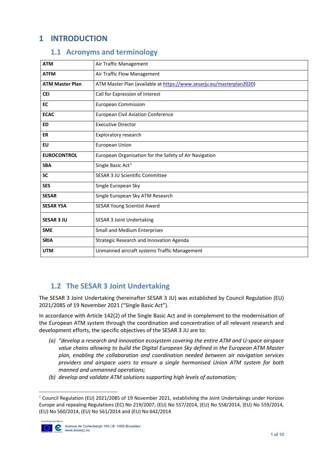## <span id="page-2-0"></span>**1 INTRODUCTION**

#### **1.1 Acronyms and terminology**

<span id="page-2-1"></span>

| <b>ATM</b>             | Air Traffic Management                                               |
|------------------------|----------------------------------------------------------------------|
| <b>ATFM</b>            | Air Traffic Flow Management                                          |
| <b>ATM Master Plan</b> | ATM Master Plan (available at https://www.sesarju.eu/masterplan2020) |
| <b>CEI</b>             | Call for Expression of Interest                                      |
| EC                     | <b>European Commission</b>                                           |
| <b>ECAC</b>            | <b>European Civil Aviation Conference</b>                            |
| <b>ED</b>              | <b>Executive Director</b>                                            |
| <b>ER</b>              | Exploratory research                                                 |
| <b>EU</b>              | <b>European Union</b>                                                |
| <b>EUROCONTROL</b>     | European Organisation for the Safety of Air Navigation               |
| <b>SBA</b>             | Single Basic Act <sup>1</sup>                                        |
| <b>SC</b>              | <b>SESAR 3 JU Scientific Committee</b>                               |
| <b>SES</b>             | Single European Sky                                                  |
| <b>SESAR</b>           | Single European Sky ATM Research                                     |
| <b>SESAR YSA</b>       | <b>SESAR Young Scientist Award</b>                                   |
| <b>SESAR 3 JU</b>      | <b>SESAR 3 Joint Undertaking</b>                                     |
| <b>SME</b>             | <b>Small and Medium Enterprises</b>                                  |
| <b>SRIA</b>            | Strategic Research and Innovation Agenda                             |
| <b>UTM</b>             | Unmanned aircraft systems Traffic Management                         |

## <span id="page-2-2"></span>**1.2 The SESAR 3 Joint Undertaking**

The SESAR 3 Joint Undertaking (hereinafter SESAR 3 JU) was established by Council Regulation (EU) 2021/2085 of 19 November 2021 ("Single Basic Act").

In accordance with Article 142(2) of the Single Basic Act and in complement to the modernisation of the European ATM system through the coordination and concentration of all relevant research and development efforts, the specific objectives of the SESAR 3 JU are to:

- *(a) "develop a research and innovation ecosystem covering the entire ATM and U-space airspace value chains allowing to build the Digital European Sky defined in the European ATM Master plan, enabling the collaboration and coordination needed between air navigation services providers and airspace users to ensure a single harmonised Union ATM system for both manned and unmanned operations;*
- *(b) develop and validate ATM solutions supporting high levels of automation;*

<span id="page-2-3"></span><sup>&</sup>lt;sup>1</sup> Council Regulation (EU) 2021/2085 of 19 November 2021, establishing the Joint Undertakings under Horizon Europe and repealing Regulations (EC) No 219/2007, (EU) No 557/2014, (EU) No 558/2014, (EU) No 559/2014, (EU) No 560/2014, (EU) No 561/2014 and (EU) No 642/2014



 $\overline{a}$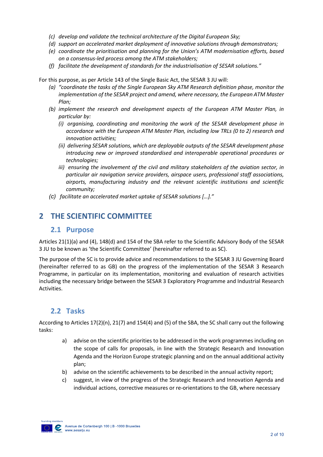- *(c) develop and validate the technical architecture of the Digital European Sky;*
- *(d) support an accelerated market deployment of innovative solutions through demonstrators;*
- *(e) coordinate the prioritisation and planning for the Union's ATM modernisation efforts, based on a consensus-led process among the ATM stakeholders;*
- *(f) facilitate the development of standards for the industrialisation of SESAR solutions."*

For this purpose, as per Article 143 of the Single Basic Act, the SESAR 3 JU will:

- *(a) "coordinate the tasks of the Single European Sky ATM Research definition phase, monitor the implementation of the SESAR project and amend, where necessary, the European ATM Master Plan;*
- *(b) implement the research and development aspects of the European ATM Master Plan, in particular by:*
	- *(i) organising, coordinating and monitoring the work of the SESAR development phase in accordance with the European ATM Master Plan, including low TRLs (0 to 2) research and innovation activities;*
	- *(ii) delivering SESAR solutions, which are deployable outputs of the SESAR development phase introducing new or improved standardised and interoperable operational procedures or technologies;*
	- *iii) ensuring the involvement of the civil and military stakeholders of the aviation sector, in particular air navigation service providers, airspace users, professional staff associations, airports, manufacturing industry and the relevant scientific institutions and scientific community;*
- *(c) facilitate an accelerated market uptake of SESAR solutions […]."*

## <span id="page-3-1"></span><span id="page-3-0"></span>**2 THE SCIENTIFIC COMMITTEE**

#### **2.1 Purpose**

Articles 21(1)(a) and (4), 148(d) and 154 of the SBA refer to the Scientific Advisory Body of the SESAR 3 JU to be known as 'the Scientific Committee' (hereinafter referred to as SC).

The purpose of the SC is to provide advice and recommendations to the SESAR 3 JU Governing Board (hereinafter referred to as GB) on the progress of the implementation of the SESAR 3 Research Programme, in particular on its implementation, monitoring and evaluation of research activities including the necessary bridge between the SESAR 3 Exploratory Programme and Industrial Research Activities.

#### <span id="page-3-2"></span>**2.2 Tasks**

According to Articles 17(2)(n), 21(7) and 154(4) and (5) of the SBA, the SC shall carry out the following tasks:

- a) advise on the scientific priorities to be addressed in the work programmes including on the scope of calls for proposals, in line with the Strategic Research and Innovation Agenda and the Horizon Europe strategic planning and on the annual additional activity plan;
- b) advise on the scientific achievements to be described in the annual activity report;
- c) suggest, in view of the progress of the Strategic Research and Innovation Agenda and individual actions, corrective measures or re-orientations to the GB, where necessary

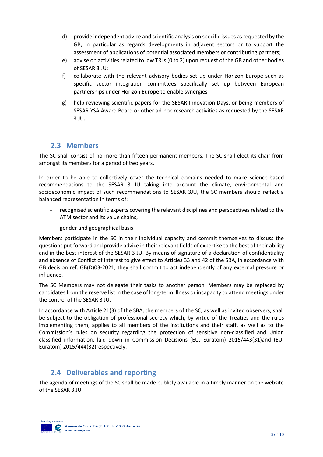- d) provide independent advice and scientific analysis on specific issues as requested by the GB, in particular as regards developments in adjacent sectors or to support the assessment of applications of potential associated members or contributing partners;
- e) advise on activities related to low TRLs (0 to 2) upon request of the GB and other bodies of SESAR 3 JU;
- f) collaborate with the relevant advisory bodies set up under Horizon Europe such as specific sector integration committees specifically set up between European partnerships under Horizon Europe to enable synergies
- g) help reviewing scientific papers for the SESAR Innovation Days, or being members of SESAR YSA Award Board or other ad-hoc research activities as requested by the SESAR 3 JU.

#### <span id="page-4-0"></span>**2.3 Members**

The SC shall consist of no more than fifteen permanent members. The SC shall elect its chair from amongst its members for a period of two years.

In order to be able to collectively cover the technical domains needed to make science-based recommendations to the SESAR 3 JU taking into account the climate, environmental and socioeconomic impact of such recommendations to SESAR 3JU, the SC members should reflect a balanced representation in terms of:

- recognised scientific experts covering the relevant disciplines and perspectives related to the ATM sector and its value chains,
- gender and geographical basis.

Members participate in the SC in their individual capacity and commit themselves to discuss the questions put forward and provide advice in their relevant fields of expertise to the best of their ability and in the best interest of the SESAR 3 JU. By means of signature of a declaration of confidentiality and absence of Conflict of Interest to give effect to Articles 33 and 42 of the SBA, in accordance with GB decision ref. GB(D)03-2021, they shall commit to act independently of any external pressure or influence.

The SC Members may not delegate their tasks to another person. Members may be replaced by candidates from the reserve list in the case of long-term illness or incapacity to attend meetings under the control of the SESAR 3 JU.

In accordance with Article 21(3) of the SBA, the members of the SC, as well as invited observers, shall be subject to the obligation of professional secrecy which, by virtue of the Treaties and the rules implementing them, applies to all members of the institutions and their staff, as well as to the Commission's rules on security regarding the protection of sensitive non-classified and Union classified information, laid down in Commission Decisions (EU, Euratom) 2015/443(31)and (EU, Euratom) 2015/444(32)respectively.

## <span id="page-4-1"></span>**2.4 Deliverables and reporting**

The agenda of meetings of the SC shall be made publicly available in a timely manner on the website of the SESAR 3 JU

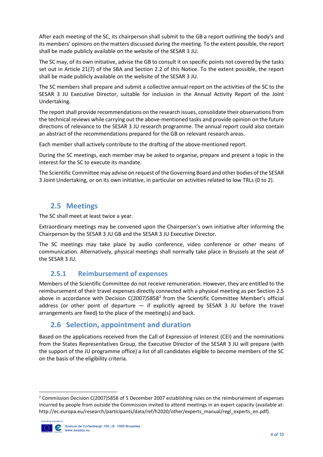After each meeting of the SC, its chairperson shall submit to the GB a report outlining the body's and its members' opinions on the matters discussed during the meeting. To the extent possible, the report shall be made publicly available on the website of the SESAR 3 JU.

The SC may, of its own initiative, advise the GB to consult it on specific points not covered by the tasks set out in Article 21(7) of the SBA and Section 2.2 of this Notice. To the extent possible, the report shall be made publicly available on the website of the SESAR 3 JU.

The SC members shall prepare and submit a collective annual report on the activities of the SC to the SESAR 3 JU Executive Director, suitable for inclusion in the Annual Activity Report of the Joint Undertaking.

The report shall provide recommendations on the research issues, consolidate their observations from the technical reviews while carrying out the above-mentioned tasks and provide opinion on the future directions of relevance to the SESAR 3 JU research programme. The annual report could also contain an abstract of the recommendations prepared for the GB on relevant research areas.

Each member shall actively contribute to the drafting of the above-mentioned report.

During the SC meetings, each member may be asked to organise, prepare and present a topic in the interest for the SC to execute its mandate.

The Scientific Committee may advise on request of the Governing Board and other bodies of the SESAR 3 Joint Undertaking, or on its own initiative, in particular on activities related to low TRLs (0 to 2).

## <span id="page-5-0"></span>**2.5 Meetings**

The SC shall meet at least twice a year.

Extraordinary meetings may be convened upon the Chairperson's own initiative after informing the Chairperson by the SESAR 3 JU GB and the SESAR 3 JU Executive Director.

The SC meetings may take place by audio conference, video conference or other means of communication. Alternatively, physical meetings shall normally take place in Brussels at the seat of the SESAR 3 JU.

#### **2.5.1 Reimbursement of expenses**

Members of the Scientific Committee do not receive remuneration. However, they are entitled to the reimbursement of their travel expenses directly connected with a physical meeting as per Section 2.5 above in accordance with Decision C([2](#page-5-2)007)5858<sup>2</sup> from the Scientific Committee Member's official address (or other point of departure — if explicitly agreed by SESAR 3 JU before the travel arrangements are fixed) to the place of the meeting(s) and back.

#### <span id="page-5-1"></span>**2.6 Selection, appointment and duration**

Based on the applications received from the Call of Expression of Interest (CEI) and the nominations from the States Representatives Group, the Executive Director of the SESAR 3 JU will prepare (with the support of the JU programme office) a list of all candidates eligible to become members of the SC on the basis of the eligibility criteria.

<span id="page-5-2"></span><sup>&</sup>lt;sup>2</sup> Commission Decision C(2007)5858 of 5 December 2007 establishing rules on the reimbursement of expenses incurred by people from outside the Commission invited to attend meetings in an expert capacity (available at: http://ec.europa.eu/research/participants/data/ref/h2020/other/experts\_manual/regl\_experts\_en.pdf).

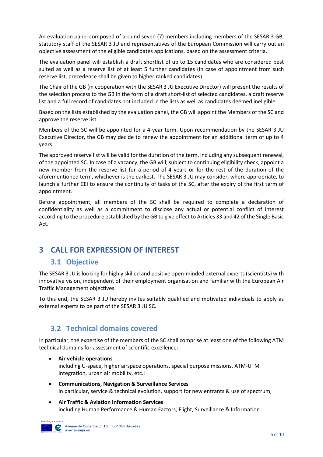An evaluation panel composed of around seven (7) members including members of the SESAR 3 GB, statutory staff of the SESAR 3 JU and representatives of the European Commission will carry out an objective assessment of the eligible candidates applications, based on the assessment criteria.

The evaluation panel will establish a draft shortlist of up to 15 candidates who are considered best suited as well as a reserve list of at least 5 further candidates (in case of appointment from such reserve list, precedence shall be given to higher ranked candidates).

The Chair of the GB (in cooperation with the SESAR 3 JU Executive Director) will present the results of the selection process to the GB in the form of a draft short-list of selected candidates, a draft reserve list and a full record of candidates not included in the lists as well as candidates deemed ineligible.

Based on the lists established by the evaluation panel, the GB will appoint the Members of the SC and approve the reserve list.

Members of the SC will be appointed for a 4-year term. Upon recommendation by the SESAR 3 JU Executive Director, the GB may decide to renew the appointment for an additional term of up to 4 years.

The approved reserve list will be valid for the duration of the term, including any subsequent renewal, of the appointed SC. In case of a vacancy, the GB will, subject to continuing eligibility check, appoint a new member from the reserve list for a period of 4 years or for the rest of the duration of the aforementioned term, whichever is the earliest. The SESAR 3 JU may consider, where appropriate, to launch a further CEI to ensure the continuity of tasks of the SC, after the expiry of the first term of appointment.

Before appointment, all members of the SC shall be required to complete a declaration of confidentiality as well as a commitment to disclose any actual or potential conflict of interest according to the procedure established by the GB to give effect to Articles 33 and 42 of the Single Basic Act.

# <span id="page-6-1"></span><span id="page-6-0"></span>**3 CALL FOR EXPRESSION OF INTEREST**

## <span id="page-6-3"></span>**3.1 Objective**

The SESAR 3 JU is looking for highly skilled and positive open-minded external experts (scientists) with innovative vision, independent of their employment organisation and familiar with the European Air Traffic Management objectives.

To this end, the SESAR 3 JU hereby invites suitably qualified and motivated individuals to apply as external experts to be part of the SESAR 3 JU SC.

## <span id="page-6-2"></span>**3.2 Technical domains covered**

In particular, the expertise of the members of the SC shall comprise at least one of the following ATM technical domains for assessment of scientific excellence:

- **Air vehicle operations**  including U-space, higher airspace operations, special purpose missions, ATM-UTM integration, urban air mobility, etc.;
- **Communications, Navigation & Surveillance Services**  in particular, service & technical evolution, support for new entrants & use of spectrum;
- **Air Traffic & Aviation Information Services** including Human Performance & Human Factors, Flight, Surveillance & Information

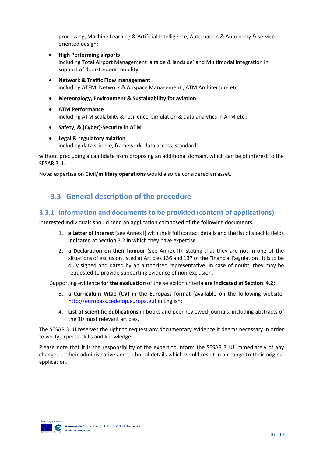processing, Machine Learning & Artificial Intelligence, Automation & Autonomy & serviceoriented design;

- **High Performing airports** including Total Airport Management 'airside & landside' and Multimodal integration in support of door-to-door mobility;
- **Network & Traffic Flow management** including ATFM, Network & Airspace Management , ATM Architecture etc.;
- **Meteorology, Environment & Sustainability for aviation**
- **ATM Performance** including ATM scalability & resilience, simulation & data analytics in ATM etc.;
- **Safety, & (Cyber)-Security in ATM**
- **Legal & regulatory aviation** including data science, framework, data access, standards

without precluding a candidate from proposing an additional domain, which can be of interest to the SESAR 3 JU.

Note: expertise on **Civil/military operations** would also be considered an asset.

## <span id="page-7-0"></span>**3.3 General description of the procedure**

#### <span id="page-7-1"></span>**3.3.1 Information and documents to be provided (content of applications)**

Interested individuals should send an application composed of the following documents:

- 1. **a Letter of interest** (see Annex I) with their full contact details and the list of specific fields indicated at Section [3.2](#page-6-2) in which they have expertise ;
- 2. a **Declaration on their honour** (see Annex II), stating that they are not in one of the situations of exclusion listed at Articles 136 and 137 of the Financial Regulation . It is to be duly signed and dated by an authorised representative. In case of doubt, they may be requested to provide supporting evidence of non-exclusion.

Supporting evidence **for the evaluation** of the selection criteria **are indicated at Section [4.2;](#page-9-3)**

- 3. a **Curriculum Vitae (CV)** in the Europass format (available on the following website: [http://europass.cedefop.europa.eu\)](http://europass.cedefop.europa.eu/) in English;
- 4. **List of scientific publications** in books and peer-reviewed journals, including abstracts of the 10 most relevant articles.

The SESAR 3 JU reserves the right to request any documentary evidence it deems necessary in order to verify experts' skills and knowledge.

Please note that it is the responsibility of the expert to inform the SESAR 3 JU immediately of any changes to their administrative and technical details which would result in a change to their original application.

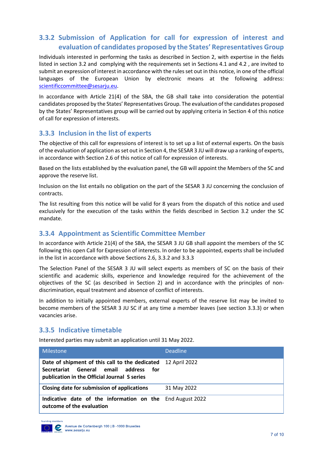#### <span id="page-8-0"></span>**3.3.2 Submission of Application for call for expression of interest and evaluation of candidates proposed by the States' Representatives Group**

Individuals interested in performing the tasks as described in Section 2, with expertise in the fields listed in section 3.2 and complying with the requirements set in Sections [4.1](#page-9-1) and [4.2](#page-9-3) , are invited to submit an expression of interest in accordance with the rules set out in this notice, in one of the official languages of the European Union by electronic means at the following address: [scientificcommittee@sesarju.eu.](mailto:scientificcommittee@sesarju.eu)

In accordance with Article 21(4) of the SBA, the GB shall take into consideration the potential candidates proposed by the States' Representatives Group. The evaluation of the candidates proposed by the States' Representatives group will be carried out by applying criteria in Section 4 of this notice of call for expression of interests.

#### <span id="page-8-1"></span>**3.3.3 Inclusion in the list of experts**

The objective of this call for expressions of interest is to set up a list of external experts. On the basis of the evaluation of application as set out in Section 4, the SESAR 3 JU will draw up a ranking of experts, in accordance with Section 2.6 of this notice of call for expression of interests.

Based on the lists established by the evaluation panel, the GB will appoint the Members of the SC and approve the reserve list.

Inclusion on the list entails no obligation on the part of the SESAR 3 JU concerning the conclusion of contracts.

The list resulting from this notice will be valid for 8 years from the dispatch of this notice and used exclusively for the execution of the tasks within the fields described in Section [3.2](#page-6-2) under the SC mandate.

#### <span id="page-8-2"></span>**3.3.4 Appointment as Scientific Committee Member**

In accordance with Article 21(4) of the SBA, the SESAR 3 JU GB shall appoint the members of the SC following this open Call for Expression of interests. In order to be appointed, experts shall be included in the list in accordance with above Sections 2.6, 3.3.2 and 3.3.3

The Selection Panel of the SESAR 3 JU will select experts as members of SC on the basis of their scientific and academic skills, experience and knowledge required for the achievement of the objectives of the SC (as described in Section [2\)](#page-3-0) and in accordance with the principles of nondiscrimination, equal treatment and absence of conflict of interests.

In addition to initially appointed members, external experts of the reserve list may be invited to become members of the SESAR 3 JU SC if at any time a member leaves (see section [3.3.3\)](#page-8-1) or when vacancies arise.

#### <span id="page-8-3"></span>**3.3.5 Indicative timetable**

Interested parties may submit an application until 31 May 2022.

| Milestone                                                                                                                               | <b>Deadline</b> |
|-----------------------------------------------------------------------------------------------------------------------------------------|-----------------|
| Date of shipment of this call to the dedicated<br>Secretariat General email address for<br>publication in the Official Journal S series | 12 April 2022   |
| Closing date for submission of applications                                                                                             | 31 May 2022     |
| Indicative date of the information on the End August 2022<br>outcome of the evaluation                                                  |                 |

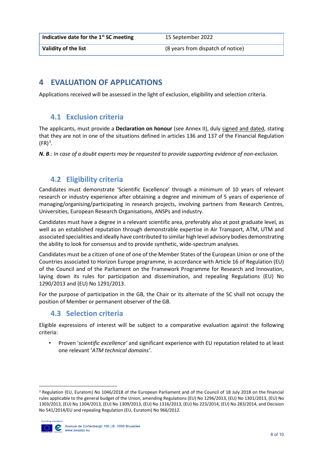**Indicative date for the 1st SC meeting** 15 September 2022

**Validity of the list Validity of the list** (8 years from dispatch of notice)

## <span id="page-9-0"></span>**4 EVALUATION OF APPLICATIONS**

Applications received will be assessed in the light of exclusion, eligibility and selection criteria.

#### <span id="page-9-1"></span>**4.1 Exclusion criteria**

The applicants, must provide a **Declaration on honour** (see Annex II), duly signed and dated, stating that they are not in one of the situations defined in articles 136 and 137 of the Financial Regulation  $(FR)^3$  $(FR)^3$ .

*N. B.: In case of a doubt experts may be requested to provide supporting evidence of non-exclusion.*

## <span id="page-9-2"></span>**4.2 Eligibility criteria**

Candidates must demonstrate 'Scientific Excellence' through a minimum of 10 years of relevant research or industry experience after obtaining a degree and minimum of 5 years of experience of managing/organising/participating in research projects, involving partners from Research Centres, Universities, European Research Organisations, ANSPs and industry.

Candidates must have a degree in a relevant scientific area, preferably also at post graduate level, as well as an established reputation through demonstrable expertise in Air Transport, ATM, UTM and associated specialities and ideally have contributed to similar high level advisory bodies demonstrating the ability to look for consensus and to provide synthetic, wide-spectrum analyses.

Candidates must be a citizen of one of one of the Member States of the European Union or one of the Countries associated to Horizon Europe programme, in accordance with Article 16 of Regulation (EU) of the Council and of the Parliament on the Framework Programme for Research and Innovation, laying down its rules for participation and dissemination, and repealing Regulations (EU) No 1290/2013 and (EU) No 1291/2013.

For the purpose of participation in the GB, the Chair or its alternate of the SC shall not occupy the position of Member or permanent observer of the GB.

## <span id="page-9-3"></span>**4.3 Selection criteria**

Eligible expressions of interest will be subject to a comparative evaluation against the following criteria:

• Proven '*scientific excellence'* and significant experience with EU reputation related to at least one relevant '*ATM technical domains'*.

<span id="page-9-4"></span> <sup>3</sup> Regulation (EU, Euratom) No 1046/2018 of the European Parliament and of the Council of 18 July 2018 on the financial rules applicable to the general budget of the Union, amending Regulations (EU) No 1296/2013, (EU) No 1301/2013, (EU) No 1303/2013, (EU) No 1304/2013, (EU) No 1309/2013, (EU) No 1316/2013, (EU) No 223/2014, (EU) No 283/2014, and Decision No 541/2014/EU and repealing Regulation (EU, Euratom) No 966/2012.

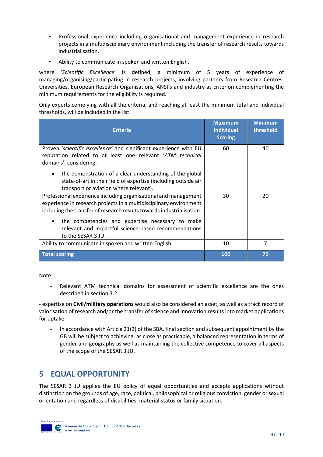- Professional experience including organisational and management experience in research projects in a multidisciplinary environment including the transfer of research results towards industrialisation.
- Ability to communicate in spoken and written English.

where '*Scientific Excellence*' is defined, a minimum of 5 years of experience of managing/organising/participating in research projects, involving partners from Research Centres, Universities, European Research Organisations, ANSPs and industry as criterion complementing the minimum requirements for the eligibility is required.

Only experts complying with all the criteria, and reaching at least the minimum total and individual thresholds, will be included in the list.

| <b>Criteria</b>                                                                                                                                                                                                                                                                                                                         | <b>Maximum</b><br><b>Individual</b><br><b>Scoring</b> | <b>Minimum</b><br>threshold |
|-----------------------------------------------------------------------------------------------------------------------------------------------------------------------------------------------------------------------------------------------------------------------------------------------------------------------------------------|-------------------------------------------------------|-----------------------------|
| Proven 'scientific excellence' and significant experience with EU<br>reputation related to at least one relevant 'ATM technical<br>domains', considering:                                                                                                                                                                               | 60                                                    | 40                          |
| the demonstration of a clear understanding of the global<br>$\bullet$<br>state-of-art in their field of expertise (including outside air<br>transport or aviation where relevant).                                                                                                                                                      |                                                       |                             |
| Professional experience including organisational and management<br>experience in research projects in a multidisciplinary environment<br>including the transfer of research results towards industrialisation:<br>the competencies and expertise necessary to make<br>$\bullet$<br>relevant and impactful science-based recommendations | 30                                                    | 20                          |
| to the SESAR 3 JU.                                                                                                                                                                                                                                                                                                                      |                                                       |                             |
| Ability to communicate in spoken and written English                                                                                                                                                                                                                                                                                    | 10                                                    | 7                           |
| <b>Total scoring</b>                                                                                                                                                                                                                                                                                                                    | 100                                                   | 70                          |

Note:

Relevant ATM technical domains for assessment of scientific excellence are the ones described in section 3.2

- expertise on **Civil/military operations** would also be considered an asset, as well as a track record of valorisation of research and/or the transfer of science and innovation results into market applications for uptake

In accordance with Article 21(2) of the SBA, final section and subsequent appointment by the GB will be subject to achieving, as close as practicable, a balanced representation in terms of gender and geography as well as maintaining the collective competence to cover all aspects of the scope of the SESAR 3 JU.

# <span id="page-10-0"></span>**5 EQUAL OPPORTUNITY**

The SESAR 3 JU applies the EU policy of equal opportunities and accepts applications without distinction on the grounds of age, race, political, philosophical or religious conviction, gender or sexual orientation and regardless of disabilities, material status or family situation.